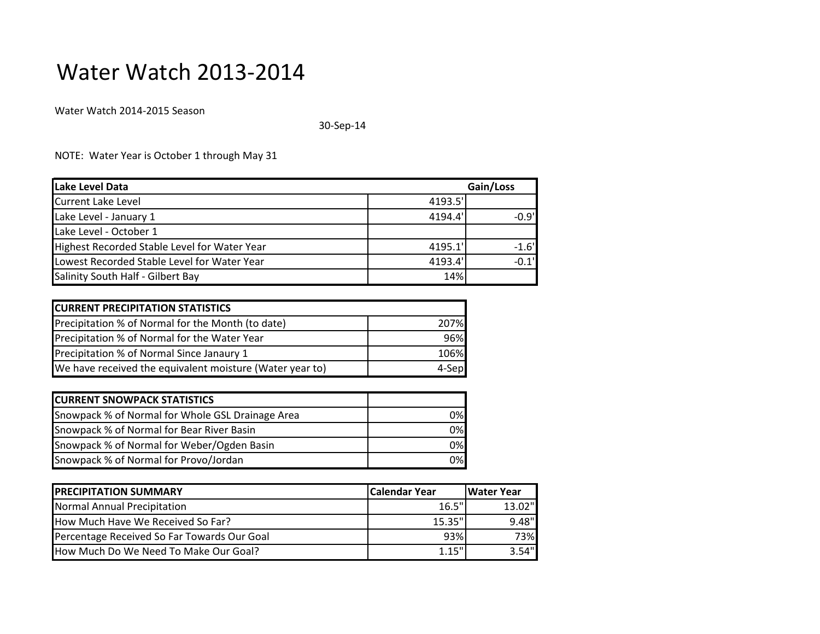## Water Watch 2013-2014

Water Watch 2014-2015 Season

30-Sep-14

NOTE: Water Year is October 1 through May 31

| Lake Level Data                              |         | Gain/Loss |  |
|----------------------------------------------|---------|-----------|--|
| <b>Current Lake Level</b>                    | 4193.5' |           |  |
| Lake Level - January 1                       | 4194.4' | $-0.9'$   |  |
| Lake Level - October 1                       |         |           |  |
| Highest Recorded Stable Level for Water Year | 4195.1' | $-1.6'$   |  |
| Lowest Recorded Stable Level for Water Year  | 4193.4' | $-0.1'$   |  |
| Salinity South Half - Gilbert Bay            | 14%     |           |  |

| <b>CURRENT PRECIPITATION STATISTICS</b>                  |        |
|----------------------------------------------------------|--------|
| Precipitation % of Normal for the Month (to date)        | 207%I  |
| Precipitation % of Normal for the Water Year             | 96%    |
| Precipitation % of Normal Since Janaury 1                | 106%   |
| We have received the equivalent moisture (Water year to) | 4-Sepl |

| <b>CURRENT SNOWPACK STATISTICS</b>               |    |
|--------------------------------------------------|----|
| Snowpack % of Normal for Whole GSL Drainage Area | 0% |
| Snowpack % of Normal for Bear River Basin        | 0% |
| Snowpack % of Normal for Weber/Ogden Basin       | 0% |
| Snowpack % of Normal for Provo/Jordan            | 0% |

| <b>PRECIPITATION SUMMARY</b>                | <b>Calendar Year</b> | <b>IWater Year</b> |
|---------------------------------------------|----------------------|--------------------|
| Normal Annual Precipitation                 | 16.5"                | $13.02$ "          |
| How Much Have We Received So Far?           | $15.35$ "            | 9.48"              |
| Percentage Received So Far Towards Our Goal | 93%                  | 73%                |
| How Much Do We Need To Make Our Goal?       | 1.15"                | 3.54"              |